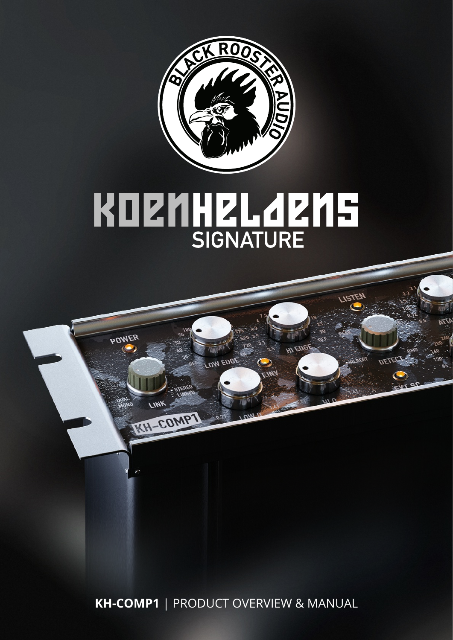

# KOZMHZL 4ZM5

OW EDGE

**POWER** 

LINK

**KH-COMPT** 

LISTEN

**HI EDGE** 

⊃ EIW,

**KH-COMP1** | PRODUCT OVERVIEW & MANUAL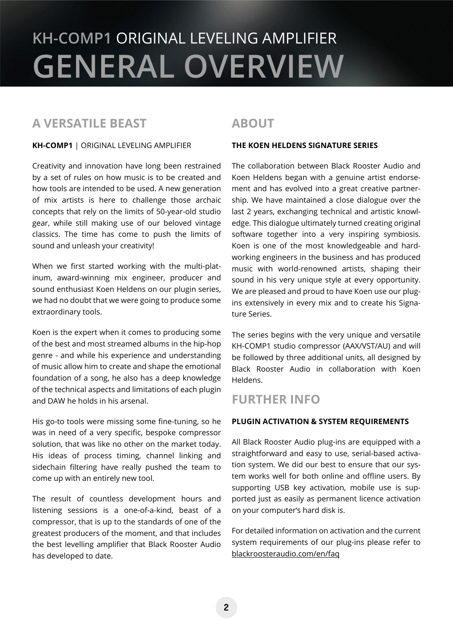# **KH-COMP1** ORIGINAL LEVELING AMPLIFIER **GENERAL OVERVIEW**

### **A VERSATILE BEAST**

#### **KH-COMP1** | ORIGINAL LEVELING AMPLIFIER

Creativity and innovation have long been restrained by a set of rules on how music is to be created and how tools are intended to be used. A new generation of mix artists is here to challenge those archaic concepts that rely on the limits of 50-year-old studio gear, while still making use of our beloved vintage classics. The time has come to push the limits of sound and unleash your creativity!

When we first started working with the multi-platinum, award-winning mix engineer, producer and sound enthusiast Koen Heldens on our plugin series, we had no doubt that we were going to produce some extraordinary tools.

Koen is the expert when it comes to producing some of the best and most streamed albums in the hip-hop genre - and while his experience and understanding of music allow him to create and shape the emotional foundation of a song, he also has a deep knowledge of the technical aspects and limitations of each plugin and DAW he holds in his arsenal.

His go-to tools were missing some fine-tuning, so he was in need of a very specific, bespoke compressor solution, that was like no other on the market today. His ideas of process timing, channel linking and sidechain filtering have really pushed the team to come up with an entirely new tool.

The result of countless development hours and listening sessions is a one-of-a-kind, beast of a compressor, that is up to the standards of one of the greatest producers of the moment, and that includes the best levelling amplifier that Black Rooster Audio has developed to date.

## **ABOUT**

#### **THE KOEN HELDENS SIGNATURE SERIES**

The collaboration between Black Rooster Audio and Koen Heldens began with a genuine artist endorsement and has evolved into a great creative partnership. We have maintained a close dialogue over the last 2 years, exchanging technical and artistic knowledge. This dialogue ultimately turned creating original software together into a very inspiring symbiosis. Koen is one of the most knowledgeable and hardworking engineers in the business and has produced music with world-renowned artists, shaping their sound in his very unique style at every opportunity. We are pleased and proud to have Koen use our plugins extensively in every mix and to create his Signature Series.

The series begins with the very unique and versatile KH-COMP1 studio compressor (AAX/VST/AU) and will be followed by three additional units, all designed by Black Rooster Audio in collaboration with Koen Heldens.

### **FURTHER INFO**

#### **PLUGIN ACTIVATION & SYSTEM REQUIREMENTS**

All Black Rooster Audio plug-ins are equipped with a straightforward and easy to use, serial-based activation system. We did our best to ensure that our system works well for both online and offline users. By supporting USB key activation, mobile use is supported just as easily as permanent licence activation on your computer's hard disk is.

For detailed information on activation and the current system requirements of our plug-ins please refer to blackroosteraudio.com/en/faq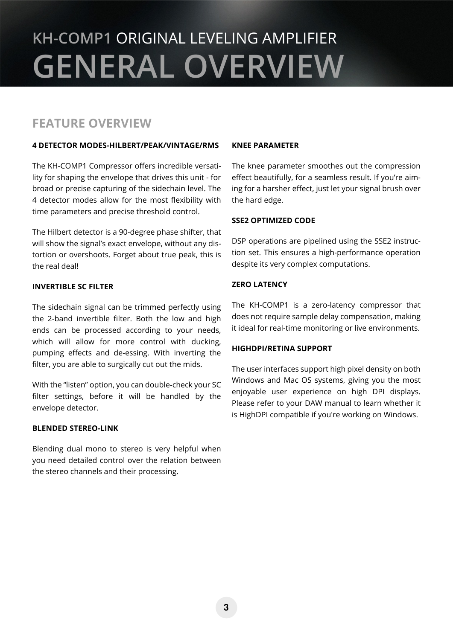# **KH-COMP1** ORIGINAL LEVELING AMPLIFIER **GENERAL OVERVIEW**

### **FEATURE OVERVIEW**

#### **4 DETECTOR MODES-HILBERT/PEAK/VINTAGE/RMS**

The KH-COMP1 Compressor offers incredible versatility for shaping the envelope that drives this unit - for broad or precise capturing of the sidechain level. The 4 detector modes allow for the most flexibility with time parameters and precise threshold control.

The Hilbert detector is a 90-degree phase shifter, that will show the signal's exact envelope, without any distortion or overshoots. Forget about true peak, this is the real deal!

#### **INVERTIBLE SC FILTER**

The sidechain signal can be trimmed perfectly using the 2-band invertible filter. Both the low and high ends can be processed according to your needs, which will allow for more control with ducking, pumping effects and de-essing. With inverting the filter, you are able to surgically cut out the mids.

With the "listen" option, you can double-check your SC filter settings, before it will be handled by the envelope detector.

#### **BLENDED STEREO-LINK**

Blending dual mono to stereo is very helpful when you need detailed control over the relation between the stereo channels and their processing.

#### **KNEE PARAMETER**

The knee parameter smoothes out the compression effect beautifully, for a seamless result. If you're aiming for a harsher effect, just let your signal brush over the hard edge.

#### **SSE2 OPTIMIZED CODE**

DSP operations are pipelined using the SSE2 instruction set. This ensures a high-performance operation despite its very complex computations.

#### **ZERO LATENCY**

The KH-COMP1 is a zero-latency compressor that does not require sample delay compensation, making it ideal for real-time monitoring or live environments.

#### **HIGHDPI/RETINA SUPPORT**

The user interfaces support high pixel density on both Windows and Mac OS systems, giving you the most enjoyable user experience on high DPI displays. Please refer to your DAW manual to learn whether it is HighDPI compatible if you're working on Windows.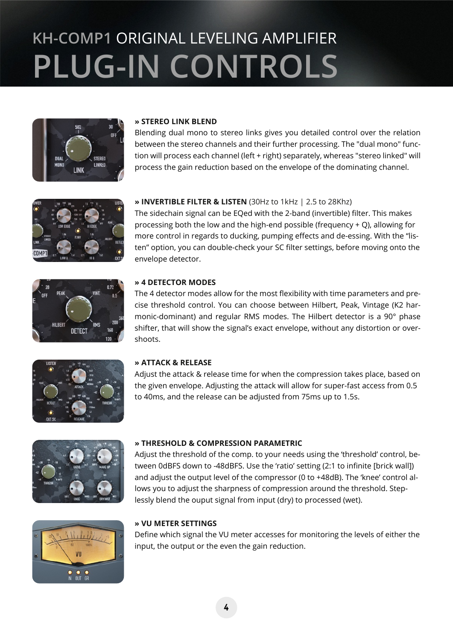# **KH-COMP1** ORIGINAL LEVELING AMPLIFIER **PLUG-IN CONTROLS**



#### **» STEREO LINK BLEND**

Blending dual mono to stereo links gives you detailed control over the relation between the stereo channels and their further processing. The "dual mono" function will process each channel (left + right) separately, whereas "stereo linked" will process the gain reduction based on the envelope of the dominating channel.



 $0.72$ 

#### **» INVERTIBLE FILTER & LISTEN** (30Hz to 1kHz | 2.5 to 28Khz)

The sidechain signal can be EQed with the 2-band (invertible) filter. This makes processing both the low and the high-end possible (frequency + Q), allowing for more control in regards to ducking, pumping effects and de-essing. With the "listen" option, you can double-check your SC filter settings, before moving onto the envelope detector.



The 4 detector modes allow for the most flexibility with time parameters and precise threshold control. You can choose between Hilbert, Peak, Vintage (K2 harmonic-dominant) and regular RMS modes. The Hilbert detector is a 90° phase shifter, that will show the signal's exact envelope, without any distortion or overshoots.



DETECT

#### **» ATTACK & RELEASE**

Adjust the attack & release time for when the compression takes place, based on the given envelope. Adjusting the attack will allow for super-fast access from 0.5 to 40ms, and the release can be adjusted from 75ms up to 1.5s.



#### **» THRESHOLD & COMPRESSION PARAMETRIC**

Adjust the threshold of the comp. to your needs using the 'threshold' control, between 0dBFS down to -48dBFS. Use the 'ratio' setting (2:1 to infinite [brick wall]) and adjust the output level of the compressor (0 to +48dB). The 'knee' control allows you to adjust the sharpness of compression around the threshold. Steplessly blend the ouput signal from input (dry) to processed (wet).



#### **» VU METER SETTINGS**

Define which signal the VU meter accesses for monitoring the levels of either the input, the output or the even the gain reduction.